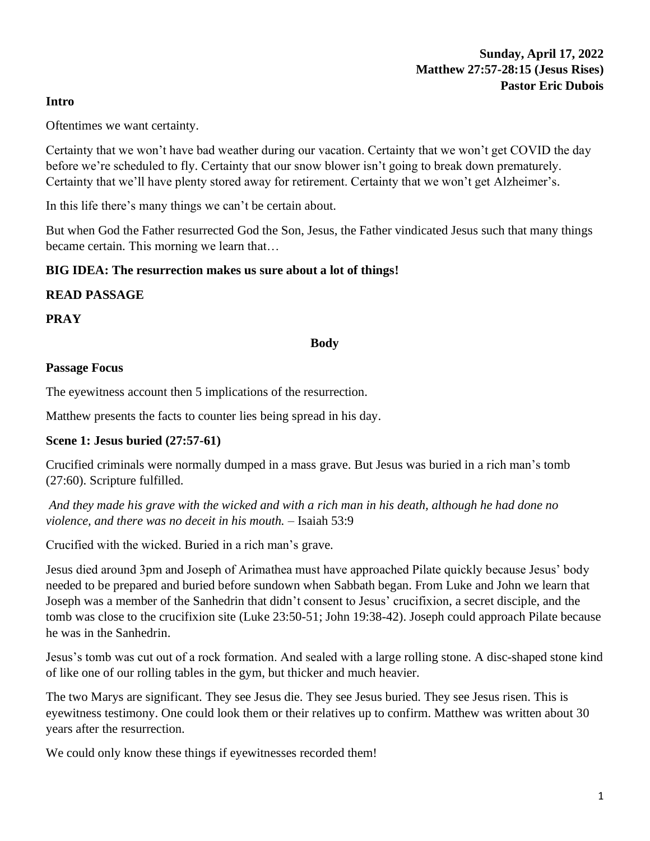#### **Intro**

Oftentimes we want certainty.

Certainty that we won't have bad weather during our vacation. Certainty that we won't get COVID the day before we're scheduled to fly. Certainty that our snow blower isn't going to break down prematurely. Certainty that we'll have plenty stored away for retirement. Certainty that we won't get Alzheimer's.

In this life there's many things we can't be certain about.

But when God the Father resurrected God the Son, Jesus, the Father vindicated Jesus such that many things became certain. This morning we learn that…

### **BIG IDEA: The resurrection makes us sure about a lot of things!**

### **READ PASSAGE**

**PRAY**

#### **Body**

#### **Passage Focus**

The eyewitness account then 5 implications of the resurrection.

Matthew presents the facts to counter lies being spread in his day.

### **Scene 1: Jesus buried (27:57-61)**

Crucified criminals were normally dumped in a mass grave. But Jesus was buried in a rich man's tomb (27:60). Scripture fulfilled.

*And they made his grave with the wicked and with a rich man in his death, although he had done no violence, and there was no deceit in his mouth.* – Isaiah 53:9

Crucified with the wicked. Buried in a rich man's grave.

Jesus died around 3pm and Joseph of Arimathea must have approached Pilate quickly because Jesus' body needed to be prepared and buried before sundown when Sabbath began. From Luke and John we learn that Joseph was a member of the Sanhedrin that didn't consent to Jesus' crucifixion, a secret disciple, and the tomb was close to the crucifixion site (Luke 23:50-51; John 19:38-42). Joseph could approach Pilate because he was in the Sanhedrin.

Jesus's tomb was cut out of a rock formation. And sealed with a large rolling stone. A disc-shaped stone kind of like one of our rolling tables in the gym, but thicker and much heavier.

The two Marys are significant. They see Jesus die. They see Jesus buried. They see Jesus risen. This is eyewitness testimony. One could look them or their relatives up to confirm. Matthew was written about 30 years after the resurrection.

We could only know these things if eyewitnesses recorded them!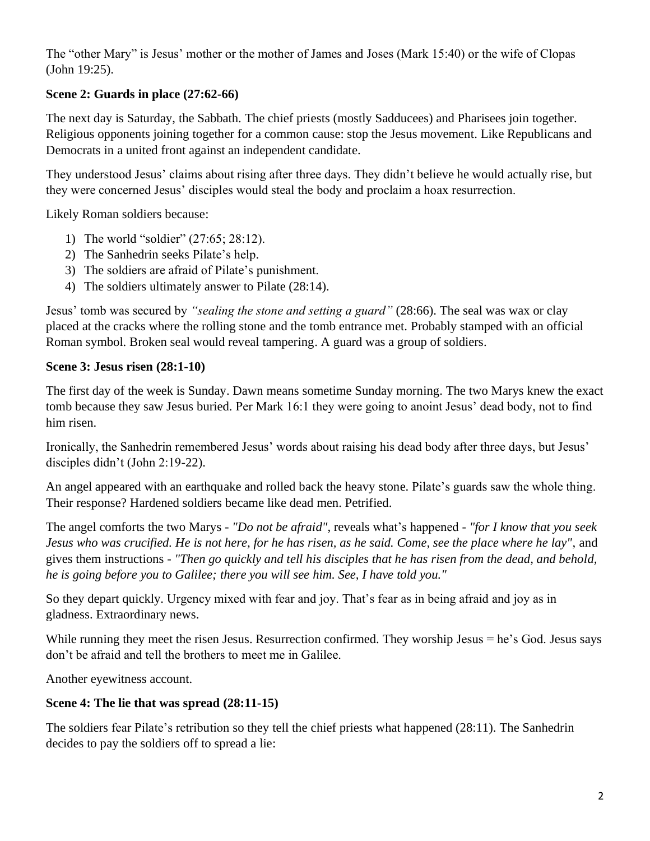The "other Mary" is Jesus' mother or the mother of James and Joses (Mark 15:40) or the wife of Clopas (John 19:25).

## **Scene 2: Guards in place (27:62-66)**

The next day is Saturday, the Sabbath. The chief priests (mostly Sadducees) and Pharisees join together. Religious opponents joining together for a common cause: stop the Jesus movement. Like Republicans and Democrats in a united front against an independent candidate.

They understood Jesus' claims about rising after three days. They didn't believe he would actually rise, but they were concerned Jesus' disciples would steal the body and proclaim a hoax resurrection.

Likely Roman soldiers because:

- 1) The world "soldier" (27:65; 28:12).
- 2) The Sanhedrin seeks Pilate's help.
- 3) The soldiers are afraid of Pilate's punishment.
- 4) The soldiers ultimately answer to Pilate (28:14).

Jesus' tomb was secured by *"sealing the stone and setting a guard"* (28:66). The seal was wax or clay placed at the cracks where the rolling stone and the tomb entrance met. Probably stamped with an official Roman symbol. Broken seal would reveal tampering. A guard was a group of soldiers.

# **Scene 3: Jesus risen (28:1-10)**

The first day of the week is Sunday. Dawn means sometime Sunday morning. The two Marys knew the exact tomb because they saw Jesus buried. Per Mark 16:1 they were going to anoint Jesus' dead body, not to find him risen.

Ironically, the Sanhedrin remembered Jesus' words about raising his dead body after three days, but Jesus' disciples didn't (John 2:19-22).

An angel appeared with an earthquake and rolled back the heavy stone. Pilate's guards saw the whole thing. Their response? Hardened soldiers became like dead men. Petrified.

The angel comforts the two Marys - *"Do not be afraid"*, reveals what's happened - *"for I know that you seek Jesus who was crucified. He is not here, for he has risen, as he said. Come, see the place where he lay"*, and gives them instructions - *"Then go quickly and tell his disciples that he has risen from the dead, and behold, he is going before you to Galilee; there you will see him. See, I have told you."*

So they depart quickly. Urgency mixed with fear and joy. That's fear as in being afraid and joy as in gladness. Extraordinary news.

While running they meet the risen Jesus. Resurrection confirmed. They worship Jesus = he's God. Jesus says don't be afraid and tell the brothers to meet me in Galilee.

Another eyewitness account.

# **Scene 4: The lie that was spread (28:11-15)**

The soldiers fear Pilate's retribution so they tell the chief priests what happened (28:11). The Sanhedrin decides to pay the soldiers off to spread a lie: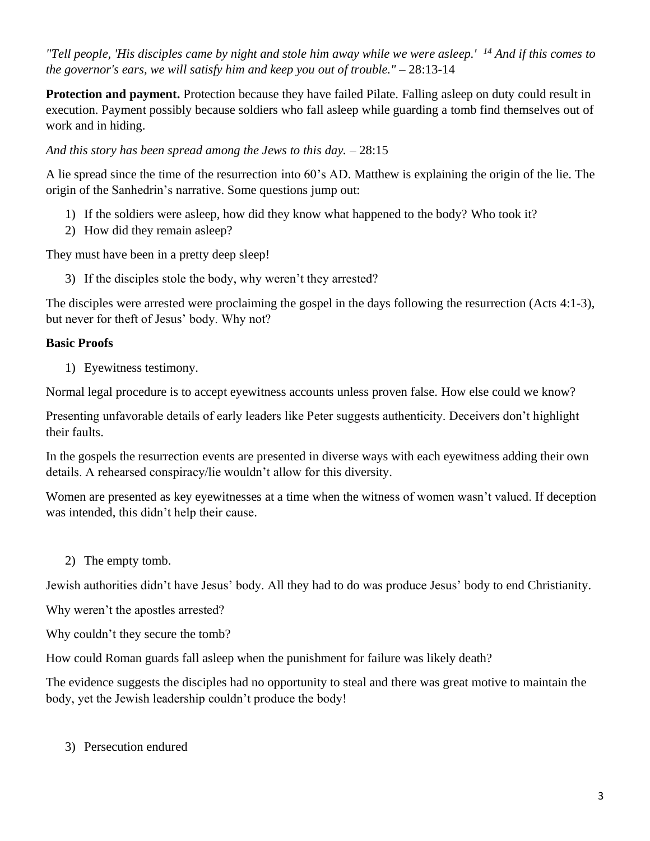*"Tell people, 'His disciples came by night and stole him away while we were asleep.' <sup>14</sup> And if this comes to the governor's ears, we will satisfy him and keep you out of trouble."* – 28:13-14

**Protection and payment.** Protection because they have failed Pilate. Falling asleep on duty could result in execution. Payment possibly because soldiers who fall asleep while guarding a tomb find themselves out of work and in hiding.

*And this story has been spread among the Jews to this day.* – 28:15

A lie spread since the time of the resurrection into 60's AD. Matthew is explaining the origin of the lie. The origin of the Sanhedrin's narrative. Some questions jump out:

- 1) If the soldiers were asleep, how did they know what happened to the body? Who took it?
- 2) How did they remain asleep?

They must have been in a pretty deep sleep!

3) If the disciples stole the body, why weren't they arrested?

The disciples were arrested were proclaiming the gospel in the days following the resurrection (Acts 4:1-3), but never for theft of Jesus' body. Why not?

### **Basic Proofs**

1) Eyewitness testimony.

Normal legal procedure is to accept eyewitness accounts unless proven false. How else could we know?

Presenting unfavorable details of early leaders like Peter suggests authenticity. Deceivers don't highlight their faults.

In the gospels the resurrection events are presented in diverse ways with each eyewitness adding their own details. A rehearsed conspiracy/lie wouldn't allow for this diversity.

Women are presented as key eyewitnesses at a time when the witness of women wasn't valued. If deception was intended, this didn't help their cause.

2) The empty tomb.

Jewish authorities didn't have Jesus' body. All they had to do was produce Jesus' body to end Christianity.

Why weren't the apostles arrested?

Why couldn't they secure the tomb?

How could Roman guards fall asleep when the punishment for failure was likely death?

The evidence suggests the disciples had no opportunity to steal and there was great motive to maintain the body, yet the Jewish leadership couldn't produce the body!

### 3) Persecution endured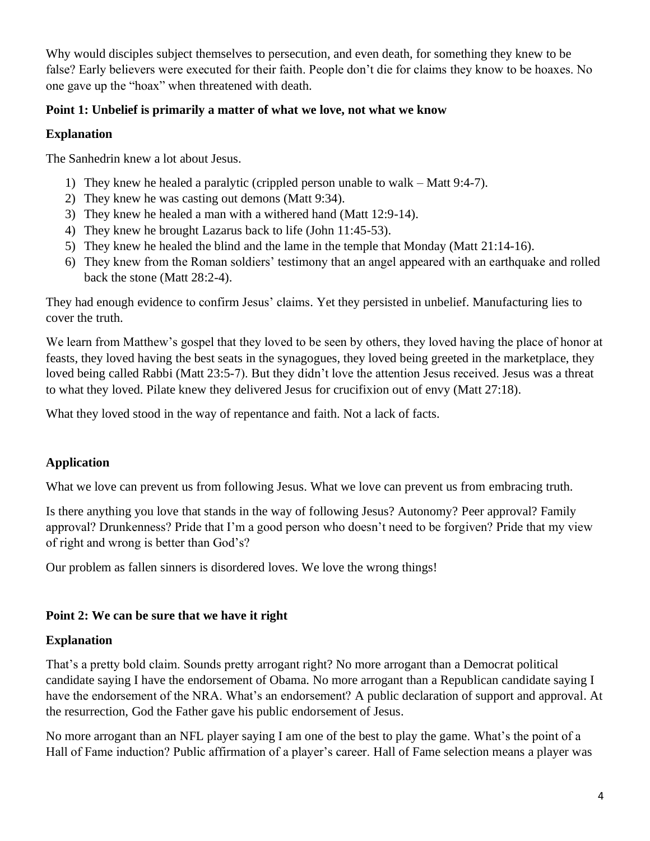Why would disciples subject themselves to persecution, and even death, for something they knew to be false? Early believers were executed for their faith. People don't die for claims they know to be hoaxes. No one gave up the "hoax" when threatened with death.

### **Point 1: Unbelief is primarily a matter of what we love, not what we know**

## **Explanation**

The Sanhedrin knew a lot about Jesus.

- 1) They knew he healed a paralytic (crippled person unable to walk Matt 9:4-7).
- 2) They knew he was casting out demons (Matt 9:34).
- 3) They knew he healed a man with a withered hand (Matt 12:9-14).
- 4) They knew he brought Lazarus back to life (John 11:45-53).
- 5) They knew he healed the blind and the lame in the temple that Monday (Matt 21:14-16).
- 6) They knew from the Roman soldiers' testimony that an angel appeared with an earthquake and rolled back the stone (Matt 28:2-4).

They had enough evidence to confirm Jesus' claims. Yet they persisted in unbelief. Manufacturing lies to cover the truth.

We learn from Matthew's gospel that they loved to be seen by others, they loved having the place of honor at feasts, they loved having the best seats in the synagogues, they loved being greeted in the marketplace, they loved being called Rabbi (Matt 23:5-7). But they didn't love the attention Jesus received. Jesus was a threat to what they loved. Pilate knew they delivered Jesus for crucifixion out of envy (Matt 27:18).

What they loved stood in the way of repentance and faith. Not a lack of facts.

# **Application**

What we love can prevent us from following Jesus. What we love can prevent us from embracing truth.

Is there anything you love that stands in the way of following Jesus? Autonomy? Peer approval? Family approval? Drunkenness? Pride that I'm a good person who doesn't need to be forgiven? Pride that my view of right and wrong is better than God's?

Our problem as fallen sinners is disordered loves. We love the wrong things!

### **Point 2: We can be sure that we have it right**

# **Explanation**

That's a pretty bold claim. Sounds pretty arrogant right? No more arrogant than a Democrat political candidate saying I have the endorsement of Obama. No more arrogant than a Republican candidate saying I have the endorsement of the NRA. What's an endorsement? A public declaration of support and approval. At the resurrection, God the Father gave his public endorsement of Jesus.

No more arrogant than an NFL player saying I am one of the best to play the game. What's the point of a Hall of Fame induction? Public affirmation of a player's career. Hall of Fame selection means a player was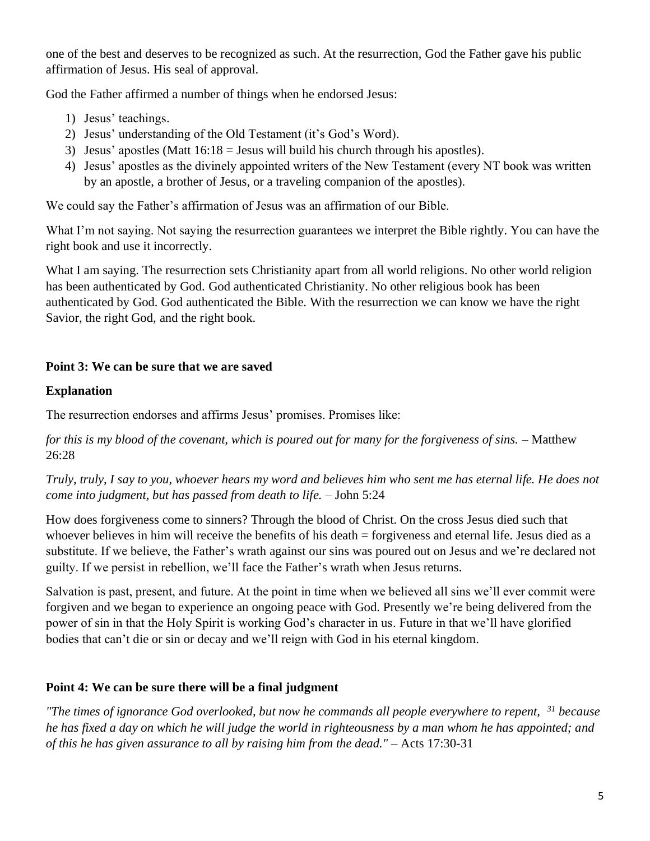one of the best and deserves to be recognized as such. At the resurrection, God the Father gave his public affirmation of Jesus. His seal of approval.

God the Father affirmed a number of things when he endorsed Jesus:

- 1) Jesus' teachings.
- 2) Jesus' understanding of the Old Testament (it's God's Word).
- 3) Jesus' apostles (Matt 16:18 = Jesus will build his church through his apostles).
- 4) Jesus' apostles as the divinely appointed writers of the New Testament (every NT book was written by an apostle, a brother of Jesus, or a traveling companion of the apostles).

We could say the Father's affirmation of Jesus was an affirmation of our Bible.

What I'm not saying. Not saying the resurrection guarantees we interpret the Bible rightly. You can have the right book and use it incorrectly.

What I am saying. The resurrection sets Christianity apart from all world religions. No other world religion has been authenticated by God. God authenticated Christianity. No other religious book has been authenticated by God. God authenticated the Bible. With the resurrection we can know we have the right Savior, the right God, and the right book.

## **Point 3: We can be sure that we are saved**

### **Explanation**

The resurrection endorses and affirms Jesus' promises. Promises like:

*for this is my blood of the covenant, which is poured out for many for the forgiveness of sins.* – Matthew 26:28

*Truly, truly, I say to you, whoever hears my word and believes him who sent me has eternal life. He does not come into judgment, but has passed from death to life.* – John 5:24

How does forgiveness come to sinners? Through the blood of Christ. On the cross Jesus died such that whoever believes in him will receive the benefits of his death = forgiveness and eternal life. Jesus died as a substitute. If we believe, the Father's wrath against our sins was poured out on Jesus and we're declared not guilty. If we persist in rebellion, we'll face the Father's wrath when Jesus returns.

Salvation is past, present, and future. At the point in time when we believed all sins we'll ever commit were forgiven and we began to experience an ongoing peace with God. Presently we're being delivered from the power of sin in that the Holy Spirit is working God's character in us. Future in that we'll have glorified bodies that can't die or sin or decay and we'll reign with God in his eternal kingdom.

### **Point 4: We can be sure there will be a final judgment**

*"The times of ignorance God overlooked, but now he commands all people everywhere to repent, <sup>31</sup> because he has fixed a day on which he will judge the world in righteousness by a man whom he has appointed; and of this he has given assurance to all by raising him from the dead."* – Acts 17:30-31